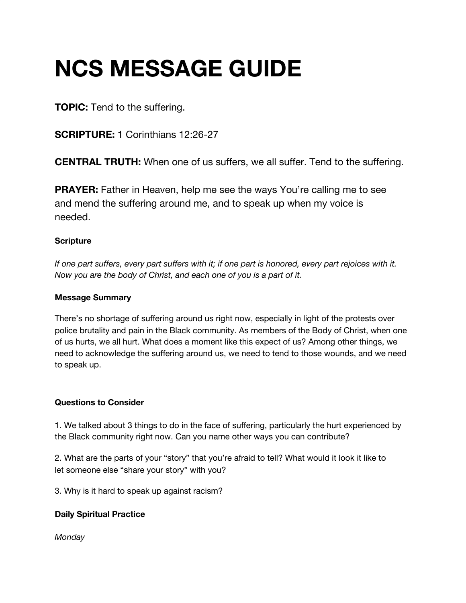# **NCS MESSAGE GUIDE**

**TOPIC:** Tend to the suffering.

**SCRIPTURE:** 1 Corinthians 12:26-27

**CENTRAL TRUTH:** When one of us suffers, we all suffer. Tend to the suffering.

**PRAYER:** Father in Heaven, help me see the ways You're calling me to see and mend the suffering around me, and to speak up when my voice is needed.

### **Scripture**

If one part suffers, every part suffers with it; if one part is honored, every part rejoices with it. *Now you are the body of Christ, and each one of you is a part of it.*

#### **Message Summary**

There's no shortage of suffering around us right now, especially in light of the protests over police brutality and pain in the Black community. As members of the Body of Christ, when one of us hurts, we all hurt. What does a moment like this expect of us? Among other things, we need to acknowledge the suffering around us, we need to tend to those wounds, and we need to speak up.

#### **Questions to Consider**

1. We talked about 3 things to do in the face of suffering, particularly the hurt experienced by the Black community right now. Can you name other ways you can contribute?

2. What are the parts of your "story" that you're afraid to tell? What would it look it like to let someone else "share your story" with you?

3. Why is it hard to speak up against racism?

## **Daily Spiritual Practice**

*Monday*